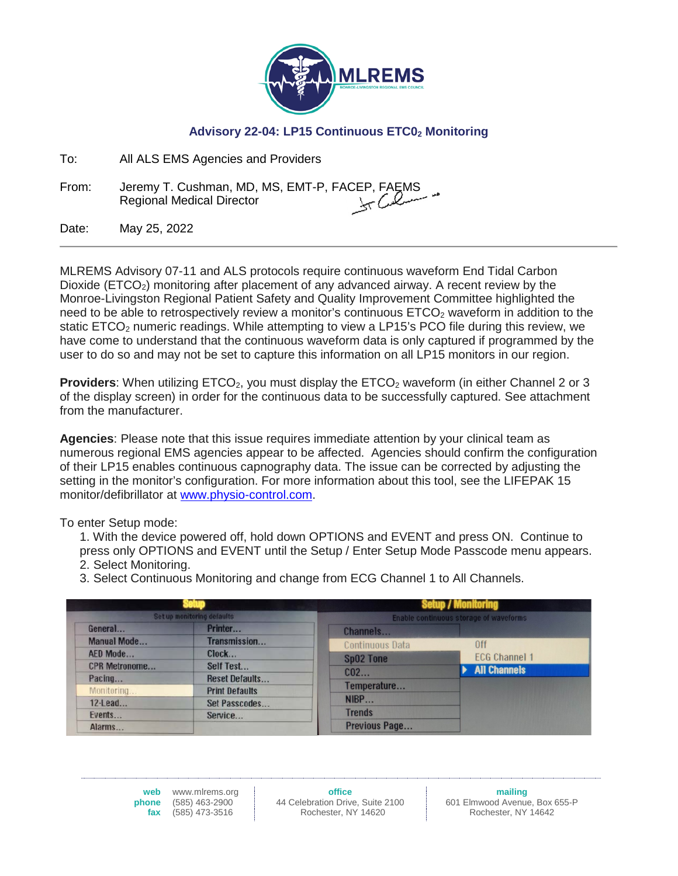

## Advisory 22-04: LP15 Continuous ETC0<sub>2</sub> Monitoring

| To: | All ALS EMS Agencies and Providers |
|-----|------------------------------------|
|     |                                    |

From: Jeremy T. Cushman, MD, MS, EMT-P, FACEP, FAEMS<br>سید ایک کرنے کی Regional Medical Director Regional Medical Director

Date: May 25, 2022

MLREMS Advisory 07-11 and ALS protocols require continuous waveform End Tidal Carbon Dioxide (ETCO<sub>2</sub>) monitoring after placement of any advanced airway. A recent review by the Monroe-Livingston Regional Patient Safety and Quality Improvement Committee highlighted the need to be able to retrospectively review a monitor's continuous  $ETCO<sub>2</sub>$  waveform in addition to the static ETCO<sub>2</sub> numeric readings. While attempting to view a LP15's PCO file during this review, we have come to understand that the continuous waveform data is only captured if programmed by the user to do so and may not be set to capture this information on all LP15 monitors in our region.

**Providers:** When utilizing ETCO<sub>2</sub>, you must display the ETCO<sub>2</sub> waveform (in either Channel 2 or 3 of the display screen) in order for the continuous data to be successfully captured. See attachment from the manufacturer.

**Agencies**: Please note that this issue requires immediate attention by your clinical team as numerous regional EMS agencies appear to be affected. Agencies should confirm the configuration of their LP15 enables continuous capnography data. The issue can be corrected by adjusting the setting in the monitor's configuration. For more information about this tool, see the LIFEPAK 15 monitor/defibrillator at [www.physio-control.com.](http://www.physio-control.com/)

To enter Setup mode:

1. With the device powered off, hold down OPTIONS and EVENT and press ON. Continue to press only OPTIONS and EVENT until the Setup / Enter Setup Mode Passcode menu appears. 2. Select Monitoring.

3. Select Continuous Monitoring and change from ECG Channel 1 to All Channels.

| Set up monitoring defaults |                       |                                               | <b>Setup / Monitoring</b> |
|----------------------------|-----------------------|-----------------------------------------------|---------------------------|
|                            |                       | <b>Enable continuous storage of waveforms</b> |                           |
| General                    | Printer               | Channels                                      |                           |
| <b>Manual Mode</b>         | Transmission          | <b>Continuous Data</b>                        | 0ff                       |
| AED Mode                   | Clock                 | <b>Sp02 Tone</b>                              | <b>ECG Channel 1</b>      |
| <b>CPR Metronome</b>       | Self Test             |                                               | <b>All Channels</b>       |
| Pacing                     | <b>Reset Defaults</b> | $CO2$                                         |                           |
| Monitoring                 | <b>Print Defaults</b> | Temperature                                   |                           |
| $12$ -Lead                 | Set Passcodes         | NIBP                                          |                           |
| Events                     | Service               | <b>Trends</b>                                 |                           |
| Alarms                     |                       | Previous Page                                 |                           |

**web** www.mlrems.org **phone** (585) 463-2900 **fax** (585) 473-3516

**office** 44 Celebration Drive, Suite 2100 Rochester, NY 14620

**mailing** 601 Elmwood Avenue, Box 655-P Rochester, NY 14642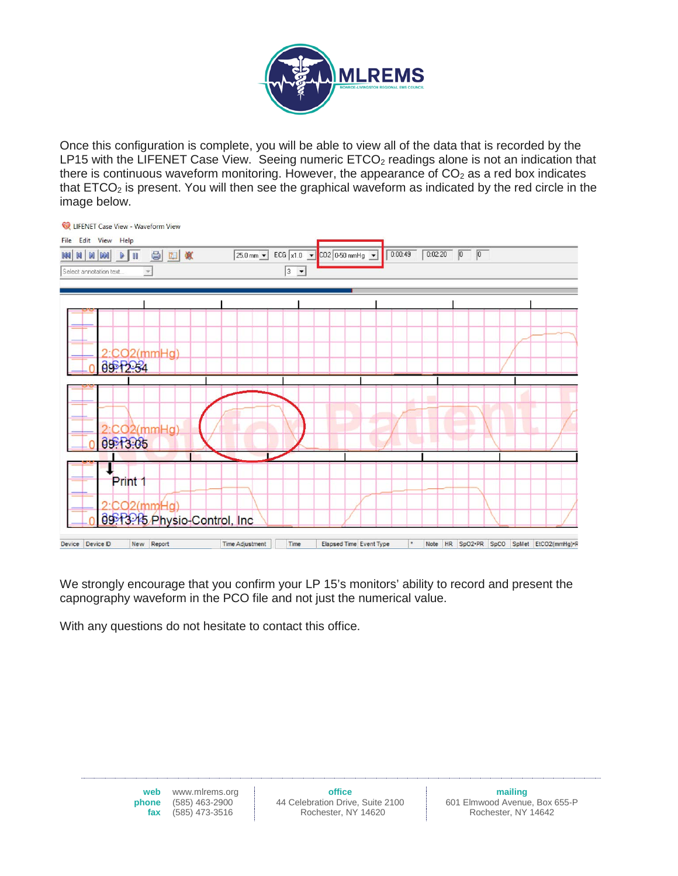

Once this configuration is complete, you will be able to view all of the data that is recorded by the LP15 with the LIFENET Case View. Seeing numeric  $ETCO<sub>2</sub>$  readings alone is not an indication that there is continuous waveform monitoring. However, the appearance of  $CO<sub>2</sub>$  as a red box indicates that  $ETCO<sub>2</sub>$  is present. You will then see the graphical waveform as indicated by the red circle in the image below.



We strongly encourage that you confirm your LP 15's monitors' ability to record and present the capnography waveform in the PCO file and not just the numerical value.

With any questions do not hesitate to contact this office.

web www.mlrems.org<br>phone (585) 463-2900 **phe** (585) 463-2900<br>**fax** (585) 473-3516 **fax** (585) 473-3516

**mailing** 601 Elmwood Avenue, Box 655-P Rochester, NY 14642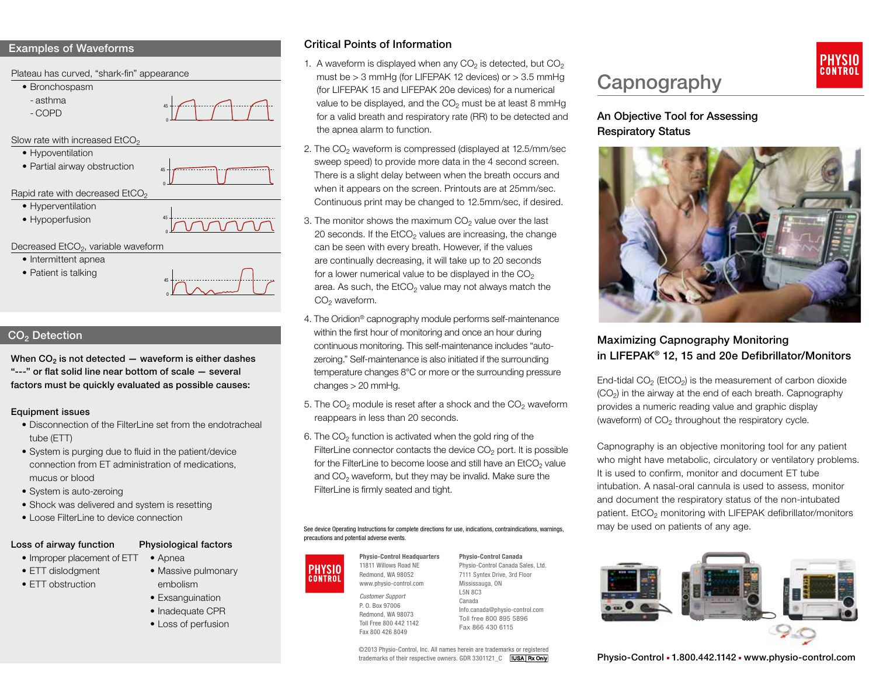#### Examples of Waveforms



#### $CO<sub>2</sub>$  Detection

When  $CO<sub>2</sub>$  is not detected  $-$  waveform is either dashes "---" or flat solid line near bottom of scale — several factors must be quickly evaluated as possible causes:

#### Equipment issues

- Disconnection of the FilterLine set from the endotracheal tube (ETT)
- System is purging due to fluid in the patient/device connection from ET administration of medications, mucus or blood
- System is auto-zeroing
- Shock was delivered and system is resetting
- Loose FilterLine to device connection

#### Loss of airway function Physiological factors

- Improper placement of ETT
- ETT dislodament
- ETT obstruction
- Apnea • Massive pulmonary
- embolism
- Exsanguination
- Inadequate CPR
- Loss of perfusion

## Critical Points of Information

- 1. A waveform is displayed when any  $CO<sub>2</sub>$  is detected, but  $CO<sub>2</sub>$ must be  $> 3$  mmHg (for LIFEPAK 12 devices) or  $> 3.5$  mmHg (for LIFEPAK 15 and LIFEPAK 20e devices) for a numerical value to be displayed, and the  $CO<sub>2</sub>$  must be at least 8 mmHg for a valid breath and respiratory rate (RR) to be detected and the apnea alarm to function.
- 2. The  $CO<sub>2</sub>$  waveform is compressed (displayed at 12.5/mm/sec sweep speed) to provide more data in the 4 second screen. There is a slight delay between when the breath occurs and when it appears on the screen. Printouts are at 25mm/sec. Continuous print may be changed to 12.5mm/sec, if desired.
- 3. The monitor shows the maximum  $CO<sub>2</sub>$  value over the last 20 seconds. If the EtCO<sub>2</sub> values are increasing, the change can be seen with every breath. However, if the values are continually decreasing, it will take up to 20 seconds for a lower numerical value to be displayed in the  $CO<sub>2</sub>$ area. As such, the  $ECO<sub>2</sub>$  value may not always match the  $CO<sub>2</sub>$  waveform.
- 4. The Oridion® capnography module performs self-maintenance within the first hour of monitoring and once an hour during continuous monitoring. This self-maintenance includes "autozeroing." Self-maintenance is also initiated if the surrounding temperature changes 8°C or more or the surrounding pressure changes > 20 mmHg.
- 5. The  $CO<sub>2</sub>$  module is reset after a shock and the  $CO<sub>2</sub>$  waveform reappears in less than 20 seconds.
- 6. The  $CO<sub>2</sub>$  function is activated when the gold ring of the FilterLine connector contacts the device  $CO<sub>2</sub>$  port. It is possible for the FilterLine to become loose and still have an  $EtCO<sub>2</sub>$  value and  $CO<sub>2</sub>$  waveform, but they may be invalid. Make sure the FilterLine is firmly seated and tight.

#### See device Operating Instructions for complete directions for use, indications, contraindications, warnings, precautions and potential adverse events.



*Customer Support* P. O. Box 97006 Redmond, WA 98073 Toll Free 800 442 1142 Fax 800 426 8049

Physio-Control Canada Physio-Control Canada Sales, Ltd. 7111 Syntex Drive, 3rd Floor Mississauga, ON L5N 8C3 Canada Info.canada@physio-control.com Toll free 800 895 5896 Fax 866 430 6115

©2013 Physio-Control, Inc. All names herein are trademarks or registered<br>trademarks of their respective owners. GDR 3301121 C **[IUSA Rx Only**]

# **Capnography**

## An Objective Tool for Assessing Respiratory Status



## Maximizing Capnography Monitoring in LIFEPAK® 12, 15 and 20e Defibrillator/Monitors

End-tidal  $CO<sub>2</sub>$  (EtCO<sub>2</sub>) is the measurement of carbon dioxide  $(CO<sub>2</sub>)$  in the airway at the end of each breath. Capnography provides a numeric reading value and graphic display (waveform) of  $CO<sub>2</sub>$  throughout the respiratory cycle.

Capnography is an objective monitoring tool for any patient who might have metabolic, circulatory or ventilatory problems. It is used to confirm, monitor and document ET tube intubation. A nasal-oral cannula is used to assess, monitor and document the respiratory status of the non-intubated patient. EtCO<sub>2</sub> monitoring with LIFEPAK defibrillator/monitors may be used on patients of any age.



Physio-Control = 1.800.442.1142 = www.physio-control.com